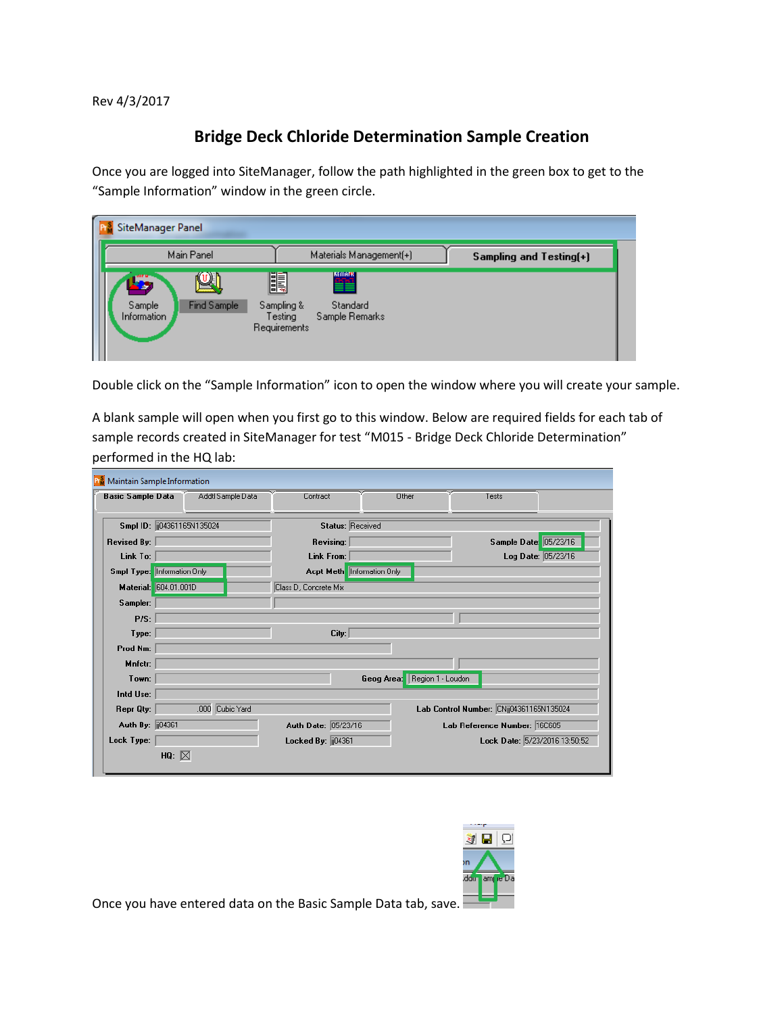Rev 4/3/2017

## **Bridge Deck Chloride Determination Sample Creation**

Once you are logged into SiteManager, follow the path highlighted in the green box to get to the "Sample Information" window in the green circle.

| SiteManager Panel                           |                                                                                                   |                         |
|---------------------------------------------|---------------------------------------------------------------------------------------------------|-------------------------|
| Main Panel                                  | Materials Management(+)                                                                           | Sampling and Testing(+) |
| - 5<br>Find Sample<br>Sample<br>Information | <b>EXERGE</b><br><u>II</u><br>Sampling &<br>Standard<br>Sample Remarks<br>Testing<br>Requirements |                         |

Double click on the "Sample Information" icon to open the window where you will create your sample.

A blank sample will open when you first go to this window. Below are required fields for each tab of sample records created in SiteManager for test "M015 - Bridge Deck Chloride Determination" performed in the HQ lab:

| <b>Maintain Sample Information</b> |                   |                                   |                              |                                         |
|------------------------------------|-------------------|-----------------------------------|------------------------------|-----------------------------------------|
| <b>Basic Sample Data</b>           | Addtl Sample Data | Contract                          | Other                        | Tests                                   |
|                                    |                   |                                   |                              |                                         |
| Smpl ID: [104361165N135024]        |                   | <b>Status: Received</b>           |                              |                                         |
| <b>Revised By:</b>                 |                   | Revising:                         |                              | Sample Date: 05/23/16                   |
| Link To:                           |                   | Link From:                        |                              | Log Date: 05/23/16                      |
| Smpl Type: Information Only        |                   | <b>Acpt Meth</b> Information Only |                              |                                         |
| Material: 604.01.001D              |                   | Class D, Concrete Mix             |                              |                                         |
| Sampler:                           |                   |                                   |                              |                                         |
| P/S:                               |                   |                                   |                              |                                         |
| Type:                              |                   | City:                             |                              |                                         |
| Prod Nm:                           |                   |                                   |                              |                                         |
| Mnfctr:                            |                   |                                   |                              |                                         |
| Town:                              |                   |                                   | Geog Area: Region 1 - Loudon |                                         |
| Intd Use:                          |                   |                                   |                              |                                         |
| Repr Qty:                          | .000 Cubic Yard   |                                   |                              | Lab Control Number: CNij04361165N135024 |
| Auth By: [104361                   |                   | Auth Date: 05/23/16               |                              | Lab Reference Number: 16C605            |
| Lock Type:                         |                   | Locked By: [04361]                |                              | Lock Date: 5/23/2016 13:50:52           |
|                                    | HQ: $\boxtimes$   |                                   |                              |                                         |



Once you have entered data on the Basic Sample Data tab, save.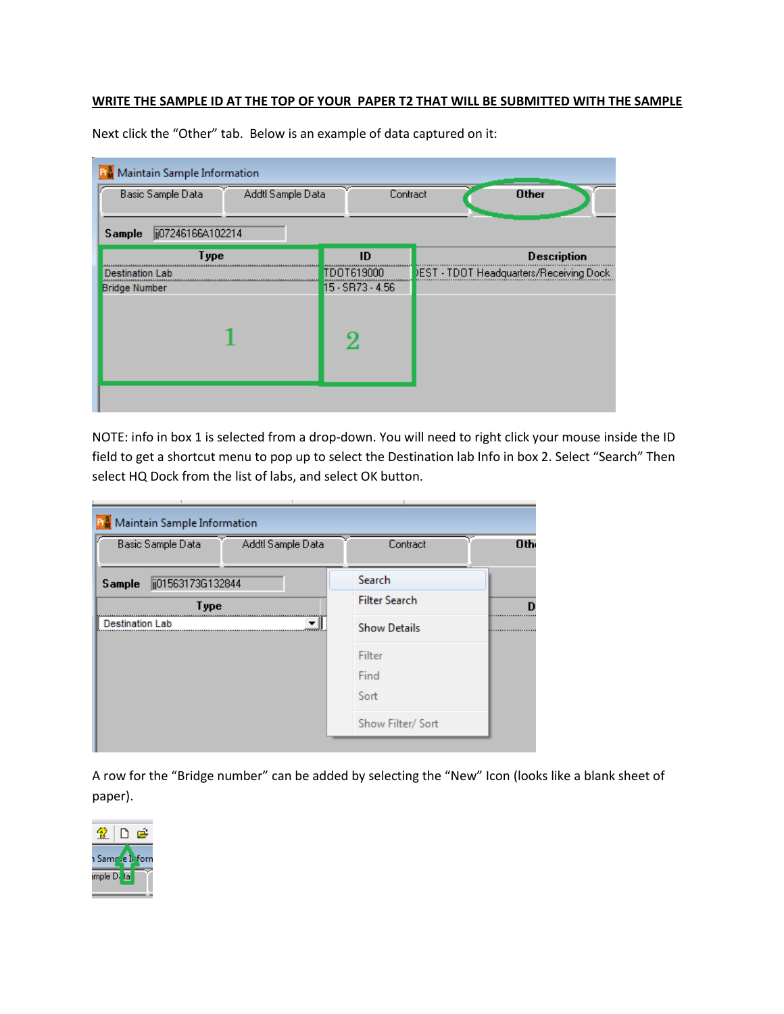## **WRITE THE SAMPLE ID AT THE TOP OF YOUR PAPER T2 THAT WILL BE SUBMITTED WITH THE SAMPLE**

| Maintain Sample Information<br>Basic Sample Data<br>Addtl Sample Data | Contract         | <b>Other</b>                                   |
|-----------------------------------------------------------------------|------------------|------------------------------------------------|
| ij07246166A102214<br><b>Sample</b>                                    |                  |                                                |
| Type                                                                  | ID               | <b>Description</b>                             |
| Destination Lab                                                       | TDOT619000       | <b>DEST - TDOT Headquarters/Receiving Dock</b> |
| <b>Bridge Number</b>                                                  | 15 - SR73 - 4.56 |                                                |
|                                                                       |                  |                                                |

Next click the "Other" tab. Below is an example of data captured on it:

NOTE: info in box 1 is selected from a drop-down. You will need to right click your mouse inside the ID field to get a shortcut menu to pop up to select the Destination lab Info in box 2. Select "Search" Then select HQ Dock from the list of labs, and select OK button.

| Maintain Sample Information |                   |                      |     |
|-----------------------------|-------------------|----------------------|-----|
| Basic Sample Data           | Addtl Sample Data | Contract             | Oth |
| ji01563173G132844<br>Sample |                   | Search               |     |
| Type                        |                   | <b>Filter Search</b> |     |
| <b>Destination Lab</b>      |                   | <b>Show Details</b>  |     |
|                             |                   | Filter               |     |
|                             |                   | Find                 |     |
|                             |                   | Sort                 |     |
|                             |                   | Show Filter/ Sort    |     |
|                             |                   |                      |     |

A row for the "Bridge number" can be added by selecting the "New" Icon (looks like a blank sheet of paper).